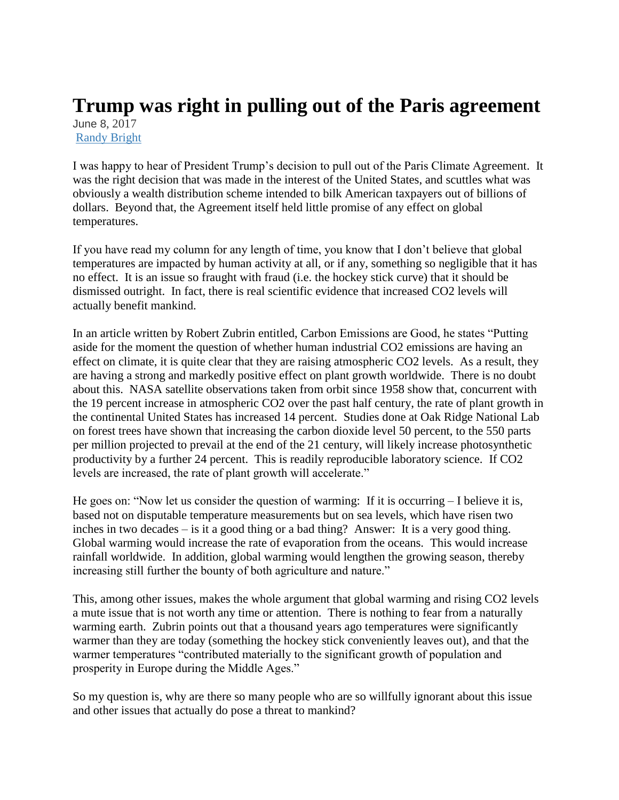## **Trump was right in pulling out of the Paris agreement** June 8, 2017

[Randy Bright](http://tulsabeacon.com/author/randy-bright/)

I was happy to hear of President Trump's decision to pull out of the Paris Climate Agreement. It was the right decision that was made in the interest of the United States, and scuttles what was obviously a wealth distribution scheme intended to bilk American taxpayers out of billions of dollars. Beyond that, the Agreement itself held little promise of any effect on global temperatures.

If you have read my column for any length of time, you know that I don't believe that global temperatures are impacted by human activity at all, or if any, something so negligible that it has no effect. It is an issue so fraught with fraud (i.e. the hockey stick curve) that it should be dismissed outright. In fact, there is real scientific evidence that increased CO2 levels will actually benefit mankind.

In an article written by Robert Zubrin entitled, Carbon Emissions are Good, he states "Putting aside for the moment the question of whether human industrial CO2 emissions are having an effect on climate, it is quite clear that they are raising atmospheric CO2 levels. As a result, they are having a strong and markedly positive effect on plant growth worldwide. There is no doubt about this. NASA satellite observations taken from orbit since 1958 show that, concurrent with the 19 percent increase in atmospheric CO2 over the past half century, the rate of plant growth in the continental United States has increased 14 percent. Studies done at Oak Ridge National Lab on forest trees have shown that increasing the carbon dioxide level 50 percent, to the 550 parts per million projected to prevail at the end of the 21 century, will likely increase photosynthetic productivity by a further 24 percent. This is readily reproducible laboratory science. If CO2 levels are increased, the rate of plant growth will accelerate."

He goes on: "Now let us consider the question of warming: If it is occurring – I believe it is, based not on disputable temperature measurements but on sea levels, which have risen two inches in two decades – is it a good thing or a bad thing? Answer: It is a very good thing. Global warming would increase the rate of evaporation from the oceans. This would increase rainfall worldwide. In addition, global warming would lengthen the growing season, thereby increasing still further the bounty of both agriculture and nature."

This, among other issues, makes the whole argument that global warming and rising CO2 levels a mute issue that is not worth any time or attention. There is nothing to fear from a naturally warming earth. Zubrin points out that a thousand years ago temperatures were significantly warmer than they are today (something the hockey stick conveniently leaves out), and that the warmer temperatures "contributed materially to the significant growth of population and prosperity in Europe during the Middle Ages."

So my question is, why are there so many people who are so willfully ignorant about this issue and other issues that actually do pose a threat to mankind?